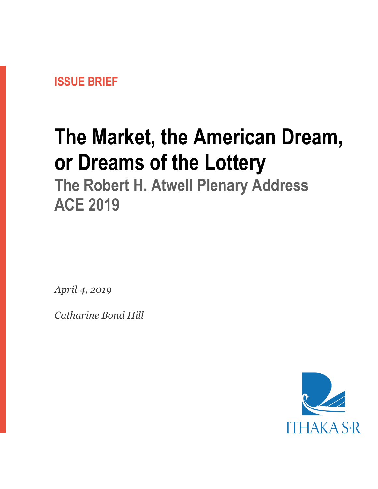

# **The Market, the American Dream, or Dreams of the Lottery**

**The Robert H. Atwell Plenary Address ACE 2019**

*April 4, 2019*

*Catharine Bond Hill*

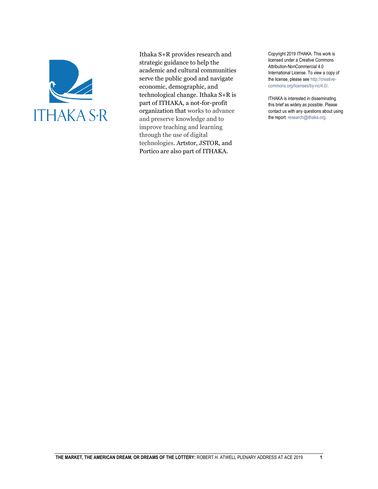

Ithaka S+R provides research and strategic guidance to help the academic and cultural communities serve the public good and navigate economic, demographic, and technological change. Ithaka S+R is part of ITHAKA, a not-for-profit organization that works to advance and preserve knowledge and to improve teaching and learning through the use of digital technologies. Artstor, JSTOR, and Portico are also part of ITHAKA.

Copyright 2019 ITHAKA. This work is licensed under a Creative Commons Attribution-NonCommercial 4.0 International License. To view a copy of the license, please see http://creativecommons.org/licenses/by-nc/4.0/.

ITHAKA is interested in disseminating this brief as widely as possible. Please contact us with any questions about using the report: research@ithaka.org.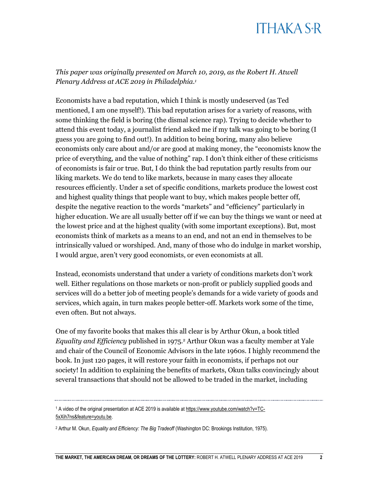*This paper was originally presented on March 10, 2019, as the Robert H. Atwell Plenary Address at ACE 2019 in Philadelphia.<sup>1</sup>*

Economists have a bad reputation, which I think is mostly undeserved (as Ted mentioned, I am one myself!). This bad reputation arises for a variety of reasons, with some thinking the field is boring (the dismal science rap). Trying to decide whether to attend this event today, a journalist friend asked me if my talk was going to be boring (I guess you are going to find out!). In addition to being boring, many also believe economists only care about and/or are good at making money, the "economists know the price of everything, and the value of nothing" rap. I don't think either of these criticisms of economists is fair or true. But, I do think the bad reputation partly results from our liking markets. We do tend to like markets, because in many cases they allocate resources efficiently. Under a set of specific conditions, markets produce the lowest cost and highest quality things that people want to buy, which makes people better off, despite the negative reaction to the words "markets" and "efficiency" particularly in higher education. We are all usually better off if we can buy the things we want or need at the lowest price and at the highest quality (with some important exceptions). But, most economists think of markets as a means to an end, and not an end in themselves to be intrinsically valued or worshiped. And, many of those who do indulge in market worship, I would argue, aren't very good economists, or even economists at all.

Instead, economists understand that under a variety of conditions markets don't work well. Either regulations on those markets or non-profit or publicly supplied goods and services will do a better job of meeting people's demands for a wide variety of goods and services, which again, in turn makes people better-off. Markets work some of the time, even often. But not always.

One of my favorite books that makes this all clear is by Arthur Okun, a book titled *Equality and Efficiency* published in 1975.<sup>2</sup> Arthur Okun was a faculty member at Yale and chair of the Council of Economic Advisors in the late 1960s. I highly recommend the book. In just 120 pages, it will restore your faith in economists, if perhaps not our society! In addition to explaining the benefits of markets, Okun talks convincingly about several transactions that should not be allowed to be traded in the market, including

<sup>1</sup> A video of the original presentation at ACE 2019 is available a[t https://www.youtube.com/watch?v=TC-](https://www.youtube.com/watch?v=TC-5xXih7ns&feature=youtu.be)[5xXih7ns&feature=youtu.be.](https://www.youtube.com/watch?v=TC-5xXih7ns&feature=youtu.be)

<sup>2</sup> Arthur M. Okun, *Equality and Efficiency: The Big Tradeoff* (Washington DC: Brookings Institution, 1975).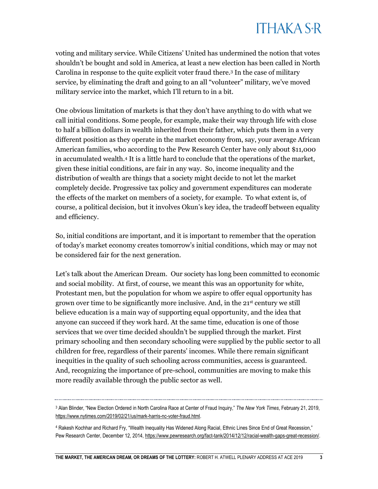voting and military service. While Citizens' United has undermined the notion that votes shouldn't be bought and sold in America, at least a new election has been called in North Carolina in response to the quite explicit voter fraud there.<sup>3</sup> In the case of military service, by eliminating the draft and going to an all "volunteer" military, we've moved military service into the market, which I'll return to in a bit.

One obvious limitation of markets is that they don't have anything to do with what we call initial conditions. Some people, for example, make their way through life with close to half a billion dollars in wealth inherited from their father, which puts them in a very different position as they operate in the market economy from, say, your average African American families, who according to the Pew Research Center have only about \$11,000 in accumulated wealth.<sup>4</sup> It is a little hard to conclude that the operations of the market, given these initial conditions, are fair in any way. So, income inequality and the distribution of wealth are things that a society might decide to not let the market completely decide. Progressive tax policy and government expenditures can moderate the effects of the market on members of a society, for example. To what extent is, of course, a political decision, but it involves Okun's key idea, the tradeoff between equality and efficiency.

So, initial conditions are important, and it is important to remember that the operation of today's market economy creates tomorrow's initial conditions, which may or may not be considered fair for the next generation.

Let's talk about the American Dream. Our society has long been committed to economic and social mobility. At first, of course, we meant this was an opportunity for white, Protestant men, but the population for whom we aspire to offer equal opportunity has grown over time to be significantly more inclusive. And, in the  $21<sup>st</sup>$  century we still believe education is a main way of supporting equal opportunity, and the idea that anyone can succeed if they work hard. At the same time, education is one of those services that we over time decided shouldn't be supplied through the market. First primary schooling and then secondary schooling were supplied by the public sector to all children for free, regardless of their parents' incomes. While there remain significant inequities in the quality of such schooling across communities, access is guaranteed. And, recognizing the importance of pre-school, communities are moving to make this more readily available through the public sector as well.

<sup>3</sup> Alan Blinder, "New Election Ordered in North Carolina Race at Center of Fraud Inquiry," *The New York Times*, February 21, 2019, [https://www.nytimes.com/2019/02/21/us/mark-harris-nc-voter-fraud.html.](https://www.nytimes.com/2019/02/21/us/mark-harris-nc-voter-fraud.html)

<sup>4</sup> Rakesh Kochhar and Richard Fry, "Wealth Inequality Has Widened Along Racial, Ethnic Lines Since End of Great Recession," Pew Research Center, December 12, 2014[, https://www.pewresearch.org/fact-tank/2014/12/12/racial-wealth-gaps-great-recession/.](https://www.pewresearch.org/fact-tank/2014/12/12/racial-wealth-gaps-great-recession/)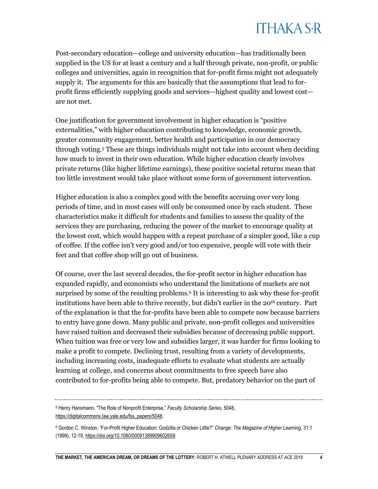Post-secondary education—college and university education—has traditionally been supplied in the US for at least a century and a half through private, non-profit, or public colleges and universities, again in recognition that for-profit firms might not adequately supply it. The arguments for this are basically that the assumptions that lead to forprofit firms efficiently supplying goods and services—highest quality and lowest cost are not met.

One justification for government involvement in higher education is "positive externalities," with higher education contributing to knowledge, economic growth, greater community engagement, better health and participation in our democracy through voting.<sup>5</sup> These are things individuals might not take into account when deciding how much to invest in their own education. While higher education clearly involves private returns (like higher lifetime earnings), these positive societal returns mean that too little investment would take place without some form of government intervention.

Higher education is also a complex good with the benefits accruing over very long periods of time, and in most cases will only be consumed once by each student. These characteristics make it difficult for students and families to assess the quality of the services they are purchasing, reducing the power of the market to encourage quality at the lowest cost, which would happen with a repeat purchase of a simpler good, like a cup of coffee. If the coffee isn't very good and/or too expensive, people will vote with their feet and that coffee shop will go out of business.

Of course, over the last several decades, the for-profit sector in higher education has expanded rapidly, and economists who understand the limitations of markets are not surprised by some of the resulting problems.<sup>6</sup> It is interesting to ask why these for-profit institutions have been able to thrive recently, but didn't earlier in the 20<sup>th</sup> century. Part of the explanation is that the for-profits have been able to compete now because barriers to entry have gone down. Many public and private, non-profit colleges and universities have raised tuition and decreased their subsidies because of decreasing public support. When tuition was free or very low and subsidies larger, it was harder for firms looking to make a profit to compete. Declining trust, resulting from a variety of developments, including increasing costs, inadequate efforts to evaluate what students are actually learning at college, and concerns about commitments to free speech have also contributed to for-profits being able to compete. But, predatory behavior on the part of

<sup>5</sup> Henry Hansmann, "The Role of Nonprofit Enterprise," *Faculty Scholarship Series*, 5048, [https://digitalcommons.law.yale.edu/fss\\_papers/5048.](https://digitalcommons.law.yale.edu/fss_papers/5048)

<sup>6</sup> Gordon C. Winston, "For-Profit Higher Education: Godzilla or Chicken Little?" *Change: The Magazine of Higher Learning*, 31:1 (1999), 12-19[, https://doi.org/10.1080/00091389909602659.](https://doi.org/10.1080/00091389909602659)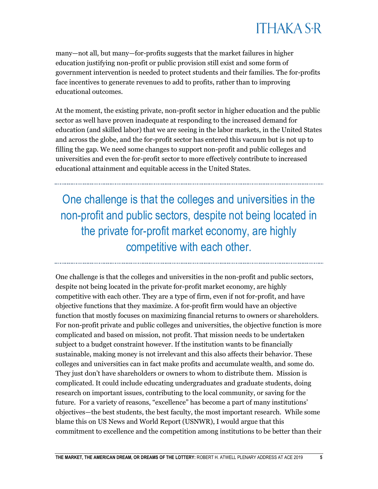many—not all, but many—for-profits suggests that the market failures in higher education justifying non-profit or public provision still exist and some form of government intervention is needed to protect students and their families. The for-profits face incentives to generate revenues to add to profits, rather than to improving educational outcomes.

At the moment, the existing private, non-profit sector in higher education and the public sector as well have proven inadequate at responding to the increased demand for education (and skilled labor) that we are seeing in the labor markets, in the United States and across the globe, and the for-profit sector has entered this vacuum but is not up to filling the gap. We need some changes to support non-profit and public colleges and universities and even the for-profit sector to more effectively contribute to increased educational attainment and equitable access in the United States.

One challenge is that the colleges and universities in the non-profit and public sectors, despite not being located in the private for-profit market economy, are highly competitive with each other.

One challenge is that the colleges and universities in the non-profit and public sectors, despite not being located in the private for-profit market economy, are highly competitive with each other. They are a type of firm, even if not for-profit, and have objective functions that they maximize. A for-profit firm would have an objective function that mostly focuses on maximizing financial returns to owners or shareholders. For non-profit private and public colleges and universities, the objective function is more complicated and based on mission, not profit. That mission needs to be undertaken subject to a budget constraint however. If the institution wants to be financially sustainable, making money is not irrelevant and this also affects their behavior. These colleges and universities can in fact make profits and accumulate wealth, and some do. They just don't have shareholders or owners to whom to distribute them. Mission is complicated. It could include educating undergraduates and graduate students, doing research on important issues, contributing to the local community, or saving for the future. For a variety of reasons, "excellence" has become a part of many institutions' objectives—the best students, the best faculty, the most important research. While some blame this on US News and World Report (USNWR), I would argue that this commitment to excellence and the competition among institutions to be better than their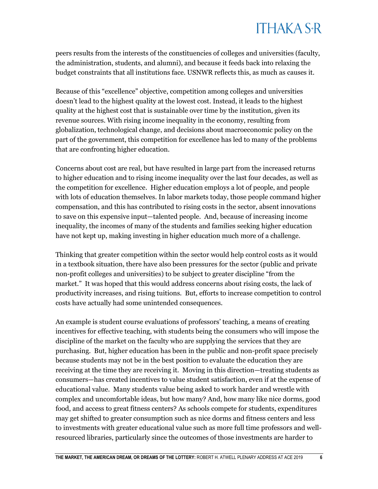peers results from the interests of the constituencies of colleges and universities (faculty, the administration, students, and alumni), and because it feeds back into relaxing the budget constraints that all institutions face. USNWR reflects this, as much as causes it.

Because of this "excellence" objective, competition among colleges and universities doesn't lead to the highest quality at the lowest cost. Instead, it leads to the highest quality at the highest cost that is sustainable over time by the institution, given its revenue sources. With rising income inequality in the economy, resulting from globalization, technological change, and decisions about macroeconomic policy on the part of the government, this competition for excellence has led to many of the problems that are confronting higher education.

Concerns about cost are real, but have resulted in large part from the increased returns to higher education and to rising income inequality over the last four decades, as well as the competition for excellence. Higher education employs a lot of people, and people with lots of education themselves. In labor markets today, those people command higher compensation, and this has contributed to rising costs in the sector, absent innovations to save on this expensive input—talented people. And, because of increasing income inequality, the incomes of many of the students and families seeking higher education have not kept up, making investing in higher education much more of a challenge.

Thinking that greater competition within the sector would help control costs as it would in a textbook situation, there have also been pressures for the sector (public and private non-profit colleges and universities) to be subject to greater discipline "from the market." It was hoped that this would address concerns about rising costs, the lack of productivity increases, and rising tuitions. But, efforts to increase competition to control costs have actually had some unintended consequences.

An example is student course evaluations of professors' teaching, a means of creating incentives for effective teaching, with students being the consumers who will impose the discipline of the market on the faculty who are supplying the services that they are purchasing. But, higher education has been in the public and non-profit space precisely because students may not be in the best position to evaluate the education they are receiving at the time they are receiving it. Moving in this direction—treating students as consumers—has created incentives to value student satisfaction, even if at the expense of educational value. Many students value being asked to work harder and wrestle with complex and uncomfortable ideas, but how many? And, how many like nice dorms, good food, and access to great fitness centers? As schools compete for students, expenditures may get shifted to greater consumption such as nice dorms and fitness centers and less to investments with greater educational value such as more full time professors and wellresourced libraries, particularly since the outcomes of those investments are harder to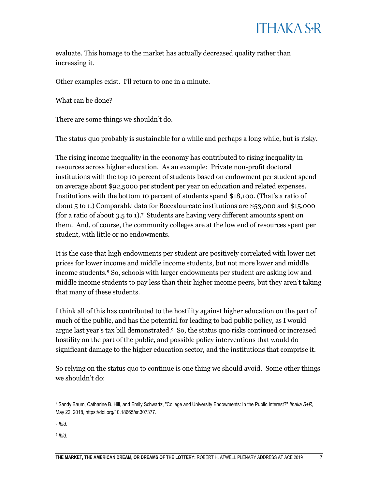evaluate. This homage to the market has actually decreased quality rather than increasing it.

Other examples exist. I'll return to one in a minute.

What can be done?

There are some things we shouldn't do.

The status quo probably is sustainable for a while and perhaps a long while, but is risky.

The rising income inequality in the economy has contributed to rising inequality in resources across higher education. As an example: Private non-profit doctoral institutions with the top 10 percent of students based on endowment per student spend on average about \$92,5000 per student per year on education and related expenses. Institutions with the bottom 10 percent of students spend \$18,100. (That's a ratio of about 5 to 1.) Comparable data for Baccalaureate institutions are \$53,000 and \$15,000 (for a ratio of about 3.5 to 1).<sup>7</sup> Students are having very different amounts spent on them. And, of course, the community colleges are at the low end of resources spent per student, with little or no endowments.

It is the case that high endowments per student are positively correlated with lower net prices for lower income and middle income students, but not more lower and middle income students.<sup>8</sup> So, schools with larger endowments per student are asking low and middle income students to pay less than their higher income peers, but they aren't taking that many of these students.

I think all of this has contributed to the hostility against higher education on the part of much of the public, and has the potential for leading to bad public policy, as I would argue last year's tax bill demonstrated.<sup>9</sup> So, the status quo risks continued or increased hostility on the part of the public, and possible policy interventions that would do significant damage to the higher education sector, and the institutions that comprise it.

So relying on the status quo to continue is one thing we should avoid. Some other things we shouldn't do:

9 *Ibid.*

<sup>7</sup> Sandy Baum, Catharine B. Hill, and Emily Schwartz, "College and University Endowments: In the Public Interest?" *Ithaka S+R*, May 22, 2018, [https://doi.org/10.18665/sr.307377.](https://doi.org/10.18665/sr.307377) 

<sup>8</sup> *Ibid.*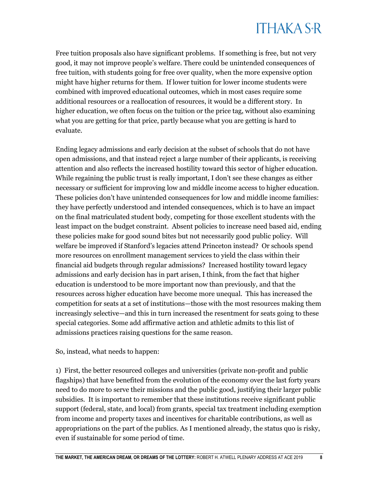Free tuition proposals also have significant problems. If something is free, but not very good, it may not improve people's welfare. There could be unintended consequences of free tuition, with students going for free over quality, when the more expensive option might have higher returns for them. If lower tuition for lower income students were combined with improved educational outcomes, which in most cases require some additional resources or a reallocation of resources, it would be a different story. In higher education, we often focus on the tuition or the price tag, without also examining what you are getting for that price, partly because what you are getting is hard to evaluate.

Ending legacy admissions and early decision at the subset of schools that do not have open admissions, and that instead reject a large number of their applicants, is receiving attention and also reflects the increased hostility toward this sector of higher education. While regaining the public trust is really important, I don't see these changes as either necessary or sufficient for improving low and middle income access to higher education. These policies don't have unintended consequences for low and middle income families: they have perfectly understood and intended consequences, which is to have an impact on the final matriculated student body, competing for those excellent students with the least impact on the budget constraint. Absent policies to increase need based aid, ending these policies make for good sound bites but not necessarily good public policy. Will welfare be improved if Stanford's legacies attend Princeton instead? Or schools spend more resources on enrollment management services to yield the class within their financial aid budgets through regular admissions? Increased hostility toward legacy admissions and early decision has in part arisen, I think, from the fact that higher education is understood to be more important now than previously, and that the resources across higher education have become more unequal. This has increased the competition for seats at a set of institutions—those with the most resources making them increasingly selective—and this in turn increased the resentment for seats going to these special categories. Some add affirmative action and athletic admits to this list of admissions practices raising questions for the same reason.

So, instead, what needs to happen:

1) First, the better resourced colleges and universities (private non-profit and public flagships) that have benefited from the evolution of the economy over the last forty years need to do more to serve their missions and the public good, justifying their larger public subsidies. It is important to remember that these institutions receive significant public support (federal, state, and local) from grants, special tax treatment including exemption from income and property taxes and incentives for charitable contributions, as well as appropriations on the part of the publics. As I mentioned already, the status quo is risky, even if sustainable for some period of time.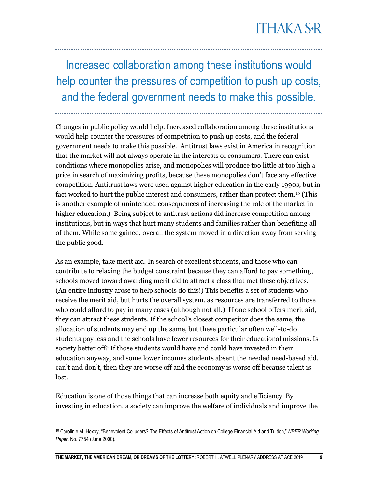Increased collaboration among these institutions would help counter the pressures of competition to push up costs, and the federal government needs to make this possible.

Changes in public policy would help. Increased collaboration among these institutions would help counter the pressures of competition to push up costs, and the federal government needs to make this possible. Antitrust laws exist in America in recognition that the market will not always operate in the interests of consumers. There can exist conditions where monopolies arise, and monopolies will produce too little at too high a price in search of maximizing profits, because these monopolies don't face any effective competition. Antitrust laws were used against higher education in the early 1990s, but in fact worked to hurt the public interest and consumers, rather than protect them.<sup>10</sup> (This is another example of unintended consequences of increasing the role of the market in higher education.) Being subject to antitrust actions did increase competition among institutions, but in ways that hurt many students and families rather than benefiting all of them. While some gained, overall the system moved in a direction away from serving the public good.

As an example, take merit aid. In search of excellent students, and those who can contribute to relaxing the budget constraint because they can afford to pay something, schools moved toward awarding merit aid to attract a class that met these objectives. (An entire industry arose to help schools do this!) This benefits a set of students who receive the merit aid, but hurts the overall system, as resources are transferred to those who could afford to pay in many cases (although not all.) If one school offers merit aid, they can attract these students. If the school's closest competitor does the same, the allocation of students may end up the same, but these particular often well-to-do students pay less and the schools have fewer resources for their educational missions. Is society better off? If those students would have and could have invested in their education anyway, and some lower incomes students absent the needed need-based aid, can't and don't, then they are worse off and the economy is worse off because talent is lost.

Education is one of those things that can increase both equity and efficiency. By investing in education, a society can improve the welfare of individuals and improve the

<sup>10</sup> Carolinie M. Hoxby, "Benevolent Colluders? The Effects of Antitrust Action on College Financial Aid and Tuition," *NBER Working Paper*, No. 7754 (June 2000).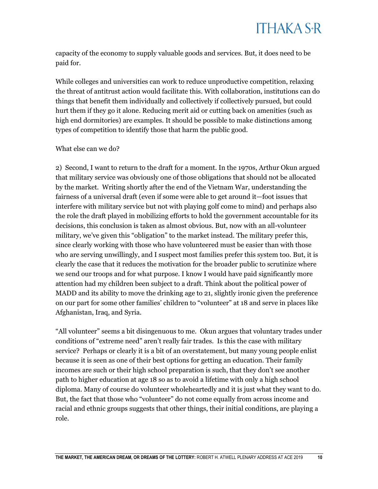capacity of the economy to supply valuable goods and services. But, it does need to be paid for.

While colleges and universities can work to reduce unproductive competition, relaxing the threat of antitrust action would facilitate this. With collaboration, institutions can do things that benefit them individually and collectively if collectively pursued, but could hurt them if they go it alone. Reducing merit aid or cutting back on amenities (such as high end dormitories) are examples. It should be possible to make distinctions among types of competition to identify those that harm the public good.

#### What else can we do?

2) Second, I want to return to the draft for a moment. In the 1970s, Arthur Okun argued that military service was obviously one of those obligations that should not be allocated by the market. Writing shortly after the end of the Vietnam War, understanding the fairness of a universal draft (even if some were able to get around it—foot issues that interfere with military service but not with playing golf come to mind) and perhaps also the role the draft played in mobilizing efforts to hold the government accountable for its decisions, this conclusion is taken as almost obvious. But, now with an all-volunteer military, we've given this "obligation" to the market instead. The military prefer this, since clearly working with those who have volunteered must be easier than with those who are serving unwillingly, and I suspect most families prefer this system too. But, it is clearly the case that it reduces the motivation for the broader public to scrutinize where we send our troops and for what purpose. I know I would have paid significantly more attention had my children been subject to a draft. Think about the political power of MADD and its ability to move the drinking age to 21, slightly ironic given the preference on our part for some other families' children to "volunteer" at 18 and serve in places like Afghanistan, Iraq, and Syria.

"All volunteer" seems a bit disingenuous to me. Okun argues that voluntary trades under conditions of "extreme need" aren't really fair trades. Is this the case with military service? Perhaps or clearly it is a bit of an overstatement, but many young people enlist because it is seen as one of their best options for getting an education. Their family incomes are such or their high school preparation is such, that they don't see another path to higher education at age 18 so as to avoid a lifetime with only a high school diploma. Many of course do volunteer wholeheartedly and it is just what they want to do. But, the fact that those who "volunteer" do not come equally from across income and racial and ethnic groups suggests that other things, their initial conditions, are playing a role.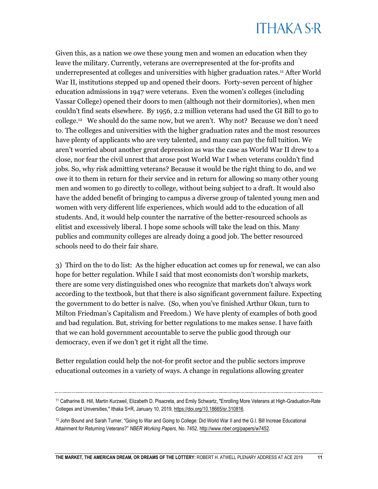Given this, as a nation we owe these young men and women an education when they leave the military. Currently, veterans are overrepresented at the for-profits and underrepresented at colleges and universities with higher graduation rates.<sup>11</sup> After World War II, institutions stepped up and opened their doors. Forty-seven percent of higher education admissions in 1947 were veterans. Even the women's colleges (including Vassar College) opened their doors to men (although not their dormitories), when men couldn't find seats elsewhere. By 1956, 2.2 million veterans had used the GI Bill to go to college.<sup>12</sup> We should do the same now, but we aren't. Why not? Because we don't need to. The colleges and universities with the higher graduation rates and the most resources have plenty of applicants who are very talented, and many can pay the full tuition. We aren't worried about another great depression as was the case as World War II drew to a close, nor fear the civil unrest that arose post World War I when veterans couldn't find jobs. So, why risk admitting veterans? Because it would be the right thing to do, and we owe it to them in return for their service and in return for allowing so many other young men and women to go directly to college, without being subject to a draft. It would also have the added benefit of bringing to campus a diverse group of talented young men and women with very different life experiences, which would add to the education of all students. And, it would help counter the narrative of the better-resourced schools as elitist and excessively liberal. I hope some schools will take the lead on this. Many publics and community colleges are already doing a good job. The better resourced schools need to do their fair share.

3) Third on the to do list: As the higher education act comes up for renewal, we can also hope for better regulation. While I said that most economists don't worship markets, there are some very distinguished ones who recognize that markets don't always work according to the textbook, but that there is also significant government failure. Expecting the government to do better is naïve. (So, when you've finished Arthur Okun, turn to Milton Friedman's Capitalism and Freedom.) We have plenty of examples of both good and bad regulation. But, striving for better regulations to me makes sense. I have faith that we can hold government accountable to serve the public good through our democracy, even if we don't get it right all the time.

Better regulation could help the not-for profit sector and the public sectors improve educational outcomes in a variety of ways. A change in regulations allowing greater

<sup>11</sup> Catharine B. Hill, Martin Kurzweil, Elizabeth D. Pisacreta, and Emily Schwartz, "Enrolling More Veterans at High-Graduation-Rate Colleges and Universities," Ithaka S+R, January 10, 2019, [https://doi.org/10.18665/sr.310816.](https://doi.org/10.18665/sr.310816) 

<sup>12</sup> John Bound and Sarah Turner, "Going to War and Going to College: Did World War II and the G.I. Bill Increae Educational Attainment for Returning Veterans?" *NBER Working Papers*, No. 7452[, http://www.nber.org/papers/w7452.](http://www.nber.org/papers/w7452)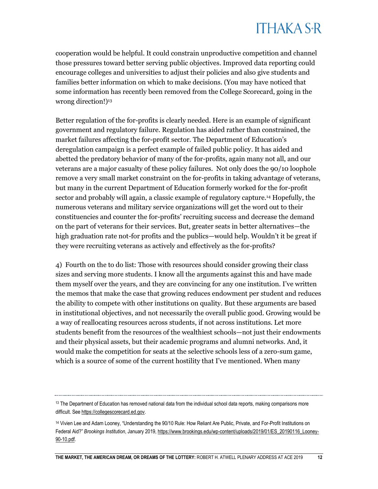cooperation would be helpful. It could constrain unproductive competition and channel those pressures toward better serving public objectives. Improved data reporting could encourage colleges and universities to adjust their policies and also give students and families better information on which to make decisions. (You may have noticed that some information has recently been removed from the College Scorecard, going in the wrong direction!)<sup>13</sup>

Better regulation of the for-profits is clearly needed. Here is an example of significant government and regulatory failure. Regulation has aided rather than constrained, the market failures affecting the for-profit sector. The Department of Education's deregulation campaign is a perfect example of failed public policy. It has aided and abetted the predatory behavior of many of the for-profits, again many not all, and our veterans are a major casualty of these policy failures. Not only does the 90/10 loophole remove a very small market constraint on the for-profits in taking advantage of veterans, but many in the current Department of Education formerly worked for the for-profit sector and probably will again, a classic example of regulatory capture.<sup>14</sup> Hopefully, the numerous veterans and military service organizations will get the word out to their constituencies and counter the for-profits' recruiting success and decrease the demand on the part of veterans for their services. But, greater seats in better alternatives—the high graduation rate not-for profits and the publics—would help. Wouldn't it be great if they were recruiting veterans as actively and effectively as the for-profits?

4) Fourth on the to do list: Those with resources should consider growing their class sizes and serving more students. I know all the arguments against this and have made them myself over the years, and they are convincing for any one institution. I've written the memos that make the case that growing reduces endowment per student and reduces the ability to compete with other institutions on quality. But these arguments are based in institutional objectives, and not necessarily the overall public good. Growing would be a way of reallocating resources across students, if not across institutions. Let more students benefit from the resources of the wealthiest schools—not just their endowments and their physical assets, but their academic programs and alumni networks. And, it would make the competition for seats at the selective schools less of a zero-sum game, which is a source of some of the current hostility that I've mentioned. When many

 $13$  The Department of Education has removed national data from the individual school data reports, making comparisons more difficult. Se[e https://collegescorecard.ed.gov.](https://collegescorecard.ed.gov/) 

<sup>14</sup> Vivien Lee and Adam Looney, "Understanding the 90/10 Rule: How Reliant Are Public, Private, and For-Profit Institutions on Federal Aid?" Brookings Institution, January 2019, [https://www.brookings.edu/wp-content/uploads/2019/01/ES\\_20190116\\_Looney-](https://www.brookings.edu/wp-content/uploads/2019/01/ES_20190116_Looney-90-10.pdf)[90-10.pdf.](https://www.brookings.edu/wp-content/uploads/2019/01/ES_20190116_Looney-90-10.pdf)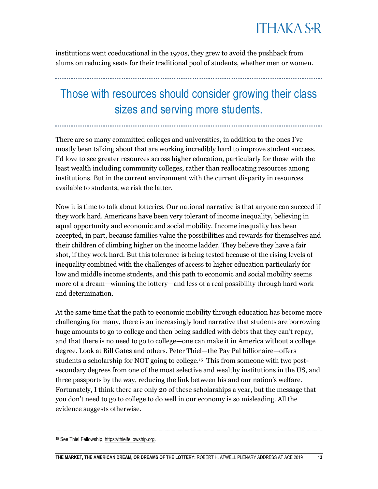institutions went coeducational in the 1970s, they grew to avoid the pushback from alums on reducing seats for their traditional pool of students, whether men or women.

#### Those with resources should consider growing their class sizes and serving more students.

There are so many committed colleges and universities, in addition to the ones I've mostly been talking about that are working incredibly hard to improve student success. I'd love to see greater resources across higher education, particularly for those with the least wealth including community colleges, rather than reallocating resources among institutions. But in the current environment with the current disparity in resources available to students, we risk the latter.

Now it is time to talk about lotteries. Our national narrative is that anyone can succeed if they work hard. Americans have been very tolerant of income inequality, believing in equal opportunity and economic and social mobility. Income inequality has been accepted, in part, because families value the possibilities and rewards for themselves and their children of climbing higher on the income ladder. They believe they have a fair shot, if they work hard. But this tolerance is being tested because of the rising levels of inequality combined with the challenges of access to higher education particularly for low and middle income students, and this path to economic and social mobility seems more of a dream—winning the lottery—and less of a real possibility through hard work and determination.

At the same time that the path to economic mobility through education has become more challenging for many, there is an increasingly loud narrative that students are borrowing huge amounts to go to college and then being saddled with debts that they can't repay, and that there is no need to go to college—one can make it in America without a college degree. Look at Bill Gates and others. Peter Thiel—the Pay Pal billionaire—offers students a scholarship for NOT going to college.<sup>15</sup> This from someone with two postsecondary degrees from one of the most selective and wealthy institutions in the US, and three passports by the way, reducing the link between his and our nation's welfare. Fortunately, I think there are only 20 of these scholarships a year, but the message that you don't need to go to college to do well in our economy is so misleading. All the evidence suggests otherwise.

<sup>15</sup> See Thiel Fellowship[, https://thielfellowship.org.](https://thielfellowship.org/)